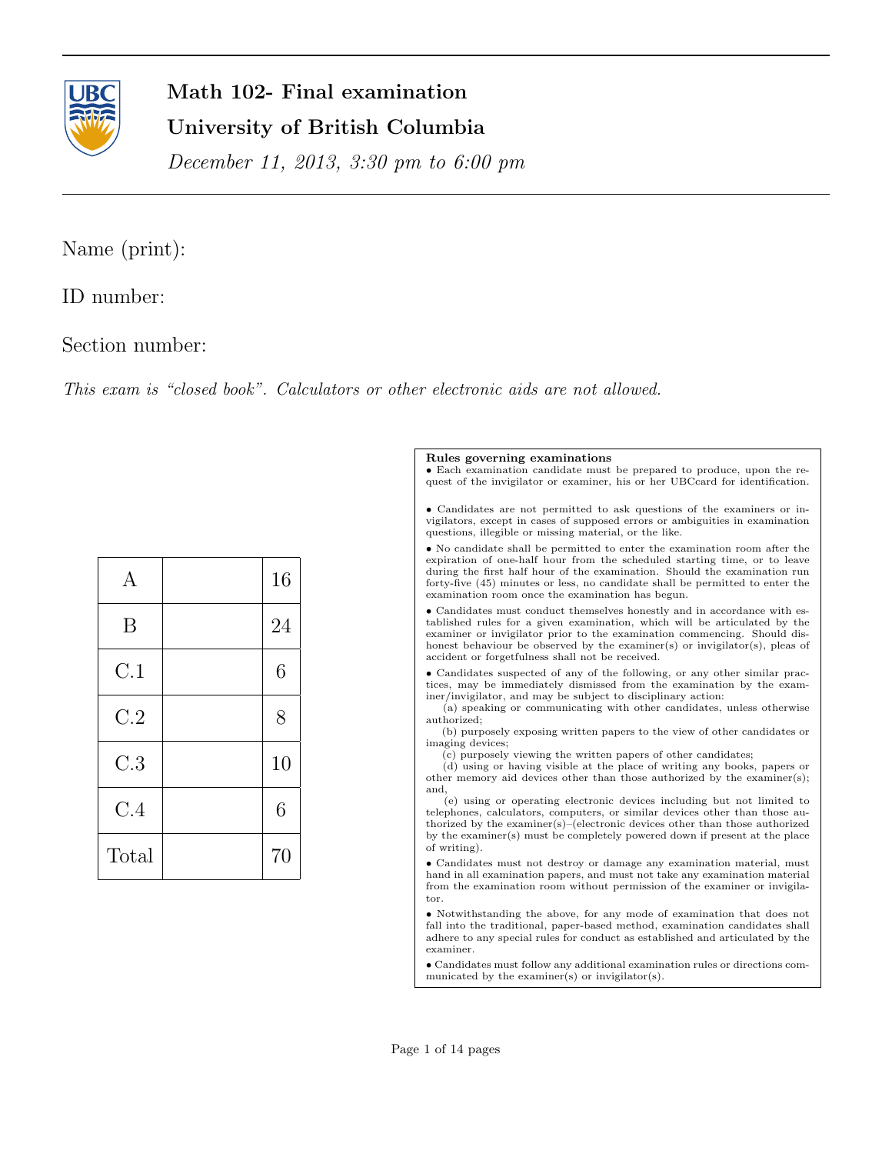

# Math 102- Final examination University of British Columbia

December 11, 2013, 3:30 pm to 6:00 pm

# Name (print):

## ID number:

### Section number:

This exam is "closed book". Calculators or other electronic aids are not allowed.

| А     | 16 |
|-------|----|
| B     | 24 |
| C.1   | 6  |
| C.2   | 8  |
| C.3   | 10 |
| C.4   | 6  |
| Total | 70 |

#### Rules governing examinations

• Each examination candidate must be prepared to produce, upon the request of the invigilator or examiner, his or her UBCcard for identification.

• Candidates are not permitted to ask questions of the examiners or invigilators, except in cases of supposed errors or ambiguities in examination questions, illegible or missing material, or the like.

 $\bullet$  No candidate shall be permitted to enter the examination room after the expiration of one-half hour from the scheduled starting time, or to leave during the first half hour of the examination. Should the examination run forty-five (45) minutes or less, no candidate shall be permitted to enter the examination room once the examination has begun.

• Candidates must conduct themselves honestly and in accordance with established rules for a given examination, which will be articulated by the examiner or invigilator prior to the examination commencing. Should dishonest behaviour be observed by the examiner(s) or invigilator(s), pleas of accident or forgetfulness shall not be received.

• Candidates suspected of any of the following, or any other similar practices, may be immediately dismissed from the examination by the examiner/invigilator, and may be subject to disciplinary action:

(a) speaking or communicating with other candidates, unless otherwise authorized;

(b) purposely exposing written papers to the view of other candidates or imaging devices;

(c) purposely viewing the written papers of other candidates;

(d) using or having visible at the place of writing any books, papers or other memory aid devices other than those authorized by the examiner(s); and,

(e) using or operating electronic devices including but not limited to telephones, calculators, computers, or similar devices other than those authorized by the examiner(s)–(electronic devices other than those authorized by the examiner(s) must be completely powered down if present at the place of writing).

 $\bullet$  Candidates must not destroy or damage any examination material, must hand in all examination papers, and must not take any examination material from the examination room without permission of the examiner or invigilator.

• Notwithstanding the above, for any mode of examination that does not fall into the traditional, paper-based method, examination candidates shall adhere to any special rules for conduct as established and articulated by the examiner.

• Candidates must follow any additional examination rules or directions communicated by the examiner(s) or invigilator(s).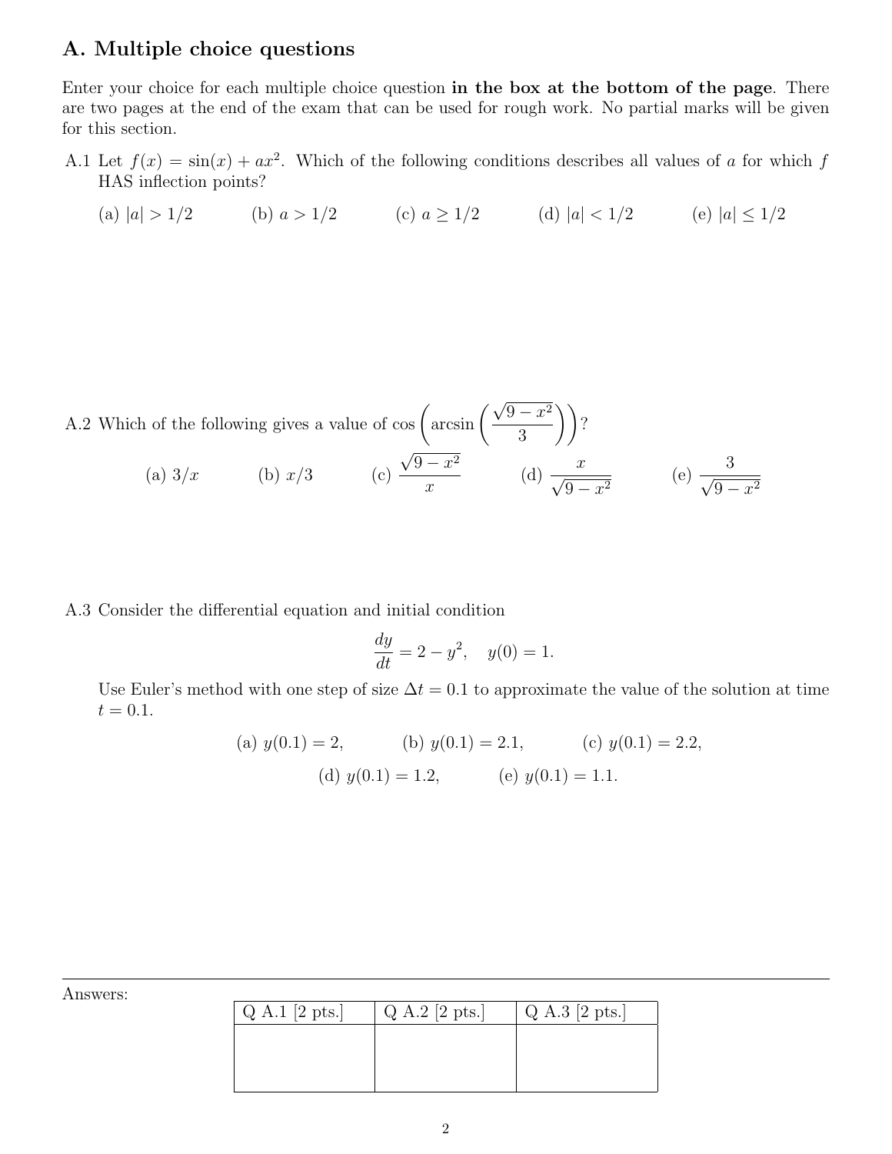### A. Multiple choice questions

Enter your choice for each multiple choice question in the box at the bottom of the page. There are two pages at the end of the exam that can be used for rough work. No partial marks will be given for this section.

A.1 Let  $f(x) = \sin(x) + ax^2$ . Which of the following conditions describes all values of a for which f HAS inflection points?

(a) 
$$
|a| > 1/2
$$
 (b)  $a > 1/2$  (c)  $a \ge 1/2$  (d)  $|a| < 1/2$  (e)  $|a| \le 1/2$ 

A.2 Which of the following gives a value of cos  $\left( \frac{\sqrt{2}}{2} \right)$  $9 - x^2$ 3  $\big)\big)$ ? (a)  $3/x$  (b)  $x/3$  (c) √  $9 - x^2$  $\boldsymbol{x}$ (d)  $\frac{x}{\sqrt{2}}$  $\frac{x}{9-x^2}$  (e)  $\frac{3}{\sqrt{9-x^2}}$  $9 - x^2$ 

A.3 Consider the differential equation and initial condition

$$
\frac{dy}{dt} = 2 - y^2, \quad y(0) = 1.
$$

Use Euler's method with one step of size  $\Delta t = 0.1$  to approximate the value of the solution at time  $t = 0.1.$ 

(a) 
$$
y(0.1) = 2
$$
, (b)  $y(0.1) = 2.1$ , (c)  $y(0.1) = 2.2$ ,  
(d)  $y(0.1) = 1.2$ , (e)  $y(0.1) = 1.1$ .

| Answers: |  |
|----------|--|
|----------|--|

| $Q$ A.1 [2 pts.] | Q A.2 [2 pts.] | Q A.3 [2 pts.] |
|------------------|----------------|----------------|
|                  |                |                |
|                  |                |                |
|                  |                |                |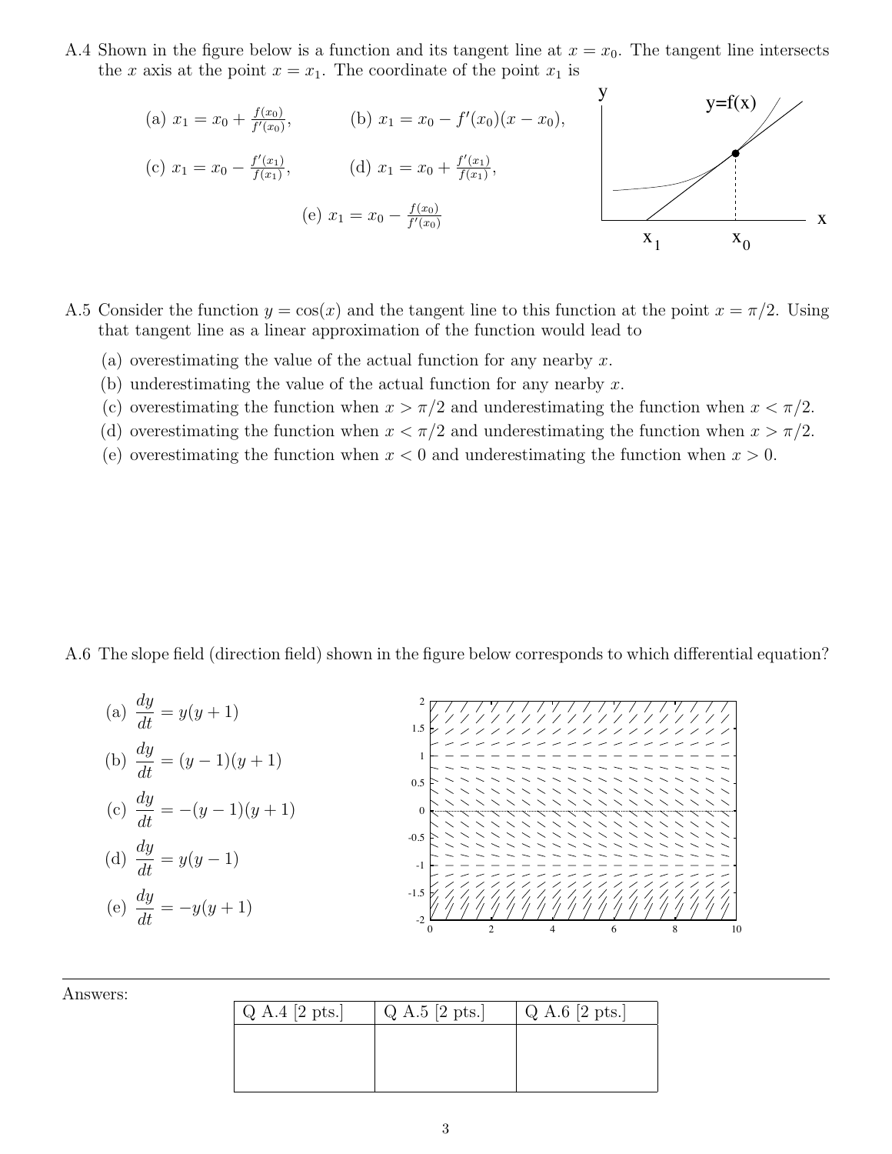A.4 Shown in the figure below is a function and its tangent line at  $x = x_0$ . The tangent line intersects the x axis at the point  $x = x_1$ . The coordinate of the point  $x_1$  is

(a) 
$$
x_1 = x_0 + \frac{f(x_0)}{f'(x_0)}
$$
, (b)  $x_1 = x_0 - f'(x_0)(x - x_0)$ ,  
\n(c)  $x_1 = x_0 - \frac{f'(x_1)}{f(x_1)}$ , (d)  $x_1 = x_0 + \frac{f'(x_1)}{f(x_1)}$ ,  
\n(e)  $x_1 = x_0 - \frac{f(x_0)}{f'(x_0)}$ 

- A.5 Consider the function  $y = cos(x)$  and the tangent line to this function at the point  $x = \pi/2$ . Using that tangent line as a linear approximation of the function would lead to
	- (a) overestimating the value of the actual function for any nearby  $x$ .
	- (b) underestimating the value of the actual function for any nearby  $x$ .
	- (c) overestimating the function when  $x > \pi/2$  and underestimating the function when  $x < \pi/2$ .
	- (d) overestimating the function when  $x < \pi/2$  and underestimating the function when  $x > \pi/2$ .
	- (e) overestimating the function when  $x < 0$  and underestimating the function when  $x > 0$ .

A.6 The slope field (direction field) shown in the figure below corresponds to which differential equation?

(a) 
$$
\frac{dy}{dt} = y(y+1)
$$
  
\n(b)  $\frac{dy}{dt} = (y-1)(y+1)$   
\n(c)  $\frac{dy}{dt} = -(y-1)(y+1)$   
\n(d)  $\frac{dy}{dt} = y(y-1)$   
\n(e)  $\frac{dy}{dt} = -y(y+1)$   
\n(f)  $\frac{dy}{dt} = -y(y+1)$   
\n(g)  $\frac{dy}{dt} = -y(y+1)$ 

Answers:

| $Q$ A.4 [2 pts.] | $Q$ A.5 [2 pts.] | Q A.6 [2 pts.] |
|------------------|------------------|----------------|
|                  |                  |                |
|                  |                  |                |
|                  |                  |                |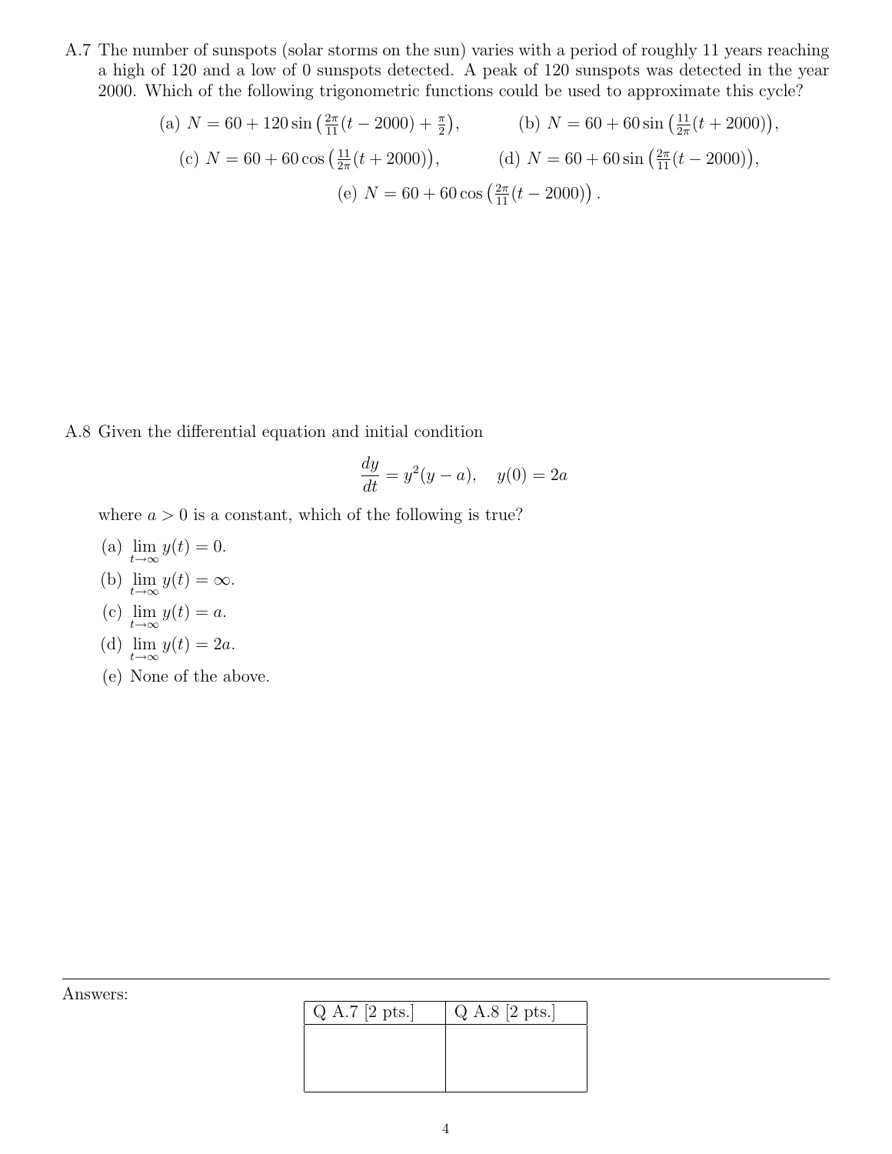A.7 The number of sunspots (solar storms on the sun) varies with a period of roughly 11 years reaching a high of 120 and a low of 0 sunspots detected. A peak of 120 sunspots was detected in the year 2000. Which of the following trigonometric functions could be used to approximate this cycle?

(a) 
$$
N = 60 + 120 \sin\left(\frac{2\pi}{11}(t - 2000) + \frac{\pi}{2}\right)
$$
, (b)  $N = 60 + 60 \sin\left(\frac{11}{2\pi}(t + 2000)\right)$   
(c)  $N = 60 + 60 \cos\left(\frac{11}{2\pi}(t + 2000)\right)$ , (d)  $N = 60 + 60 \sin\left(\frac{2\pi}{11}(t - 2000)\right)$ ,  
(e)  $N = 60 + 60 \cos\left(\frac{2\pi}{11}(t - 2000)\right)$ .

,

A.8 Given the differential equation and initial condition

$$
\frac{dy}{dt} = y^2(y - a), \quad y(0) = 2a
$$

where  $a > 0$  is a constant, which of the following is true?

- (a)  $\lim_{t\to\infty} y(t) = 0.$ (b)  $\lim_{t \to \infty} y(t) = \infty$ .
- (c)  $\lim_{t \to \infty} y(t) = a$ .

(d) 
$$
\lim_{t \to \infty} y(t) = 2a.
$$

(e) None of the above.

 $Q A.7 [2 pts.] \qquad Q A.8 [2 pts.]$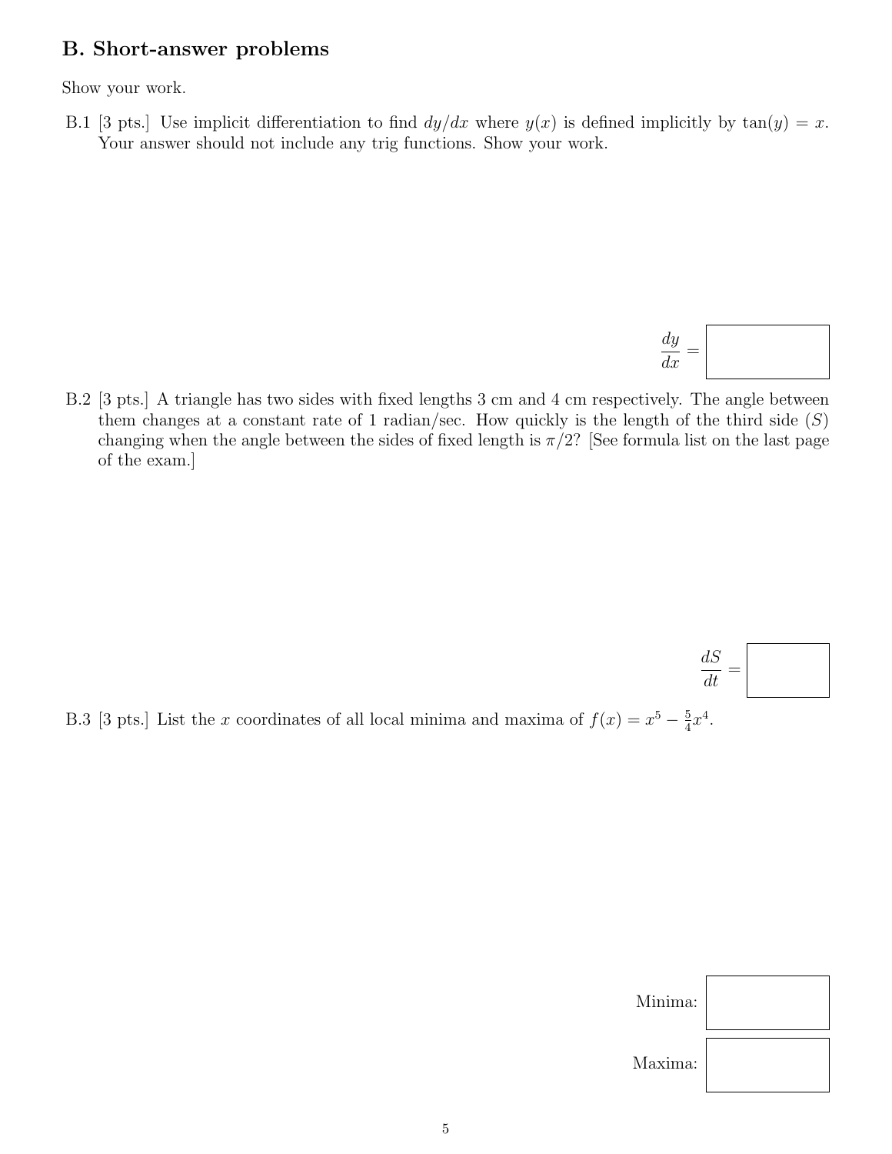### B. Short-answer problems

Show your work.

B.1 [3 pts.] Use implicit differentiation to find  $dy/dx$  where  $y(x)$  is defined implicitly by  $tan(y) = x$ . Your answer should not include any trig functions. Show your work.

$$
\frac{dy}{dx} = \boxed{\qquad \qquad }
$$

 $dS$  $\frac{dS}{dt} =$ 

B.2 [3 pts.] A triangle has two sides with fixed lengths 3 cm and 4 cm respectively. The angle between them changes at a constant rate of 1 radian/sec. How quickly is the length of the third side  $(S)$ changing when the angle between the sides of fixed length is  $\pi/2$ ? [See formula list on the last page of the exam.]

B.3 [3 pts.] List the x coordinates of all local minima and maxima of  $f(x) = x^5 - \frac{5}{4}$  $\frac{5}{4}x^4$ .

| Minima: |  |
|---------|--|
| Maxima: |  |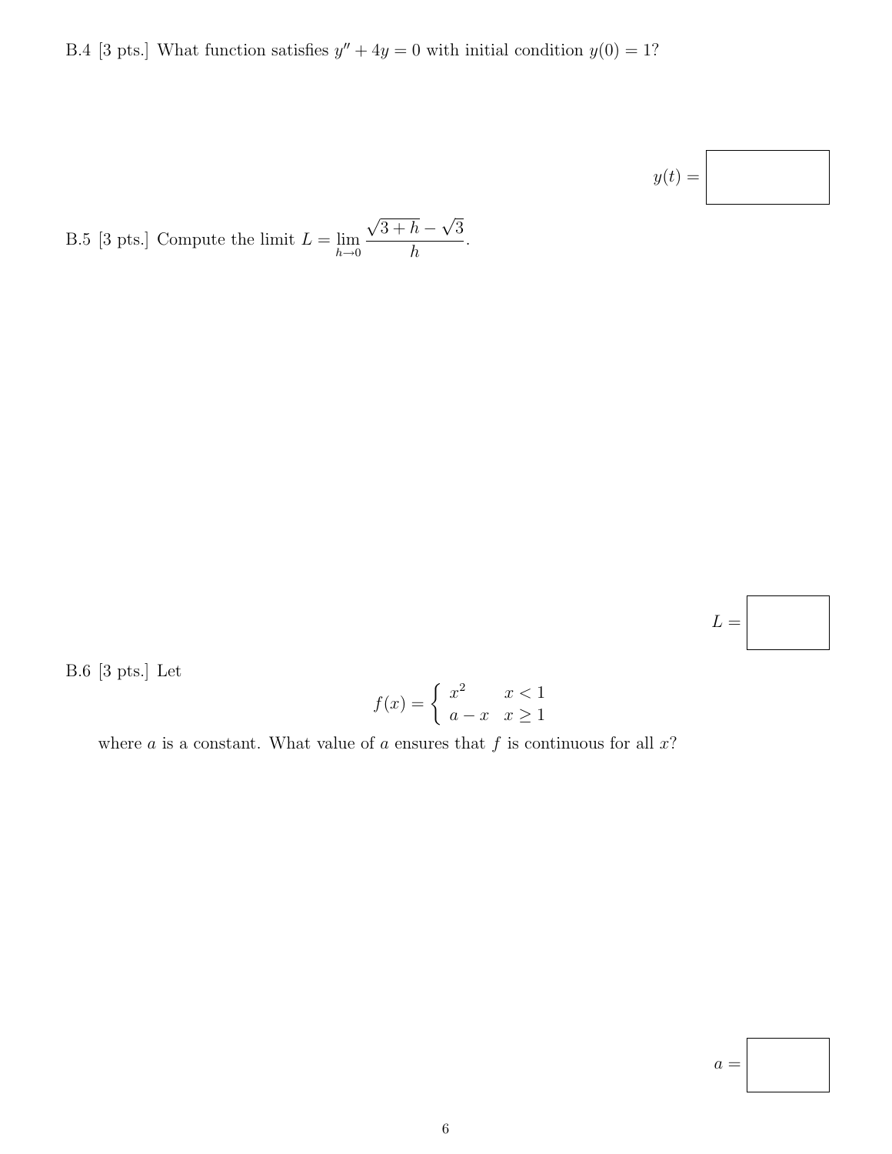B.4 [3 pts.] What function satisfies  $y'' + 4y = 0$  with initial condition  $y(0) = 1$ ?

$$
y(t) = \boxed{\phantom{\bigg|}}
$$

B.5 [3 pts.] Compute the limit  $L = \lim_{h \to 0}$ √  $3+h-$ √ 3 h .

 ${\cal L} =$ 

B.6 [3 pts.] Let

$$
f(x) = \begin{cases} x^2 & x < 1 \\ a - x & x \ge 1 \end{cases}
$$

where  $a$  is a constant. What value of  $a$  ensures that  $f$  is continuous for all  $x$ ?

 $a =$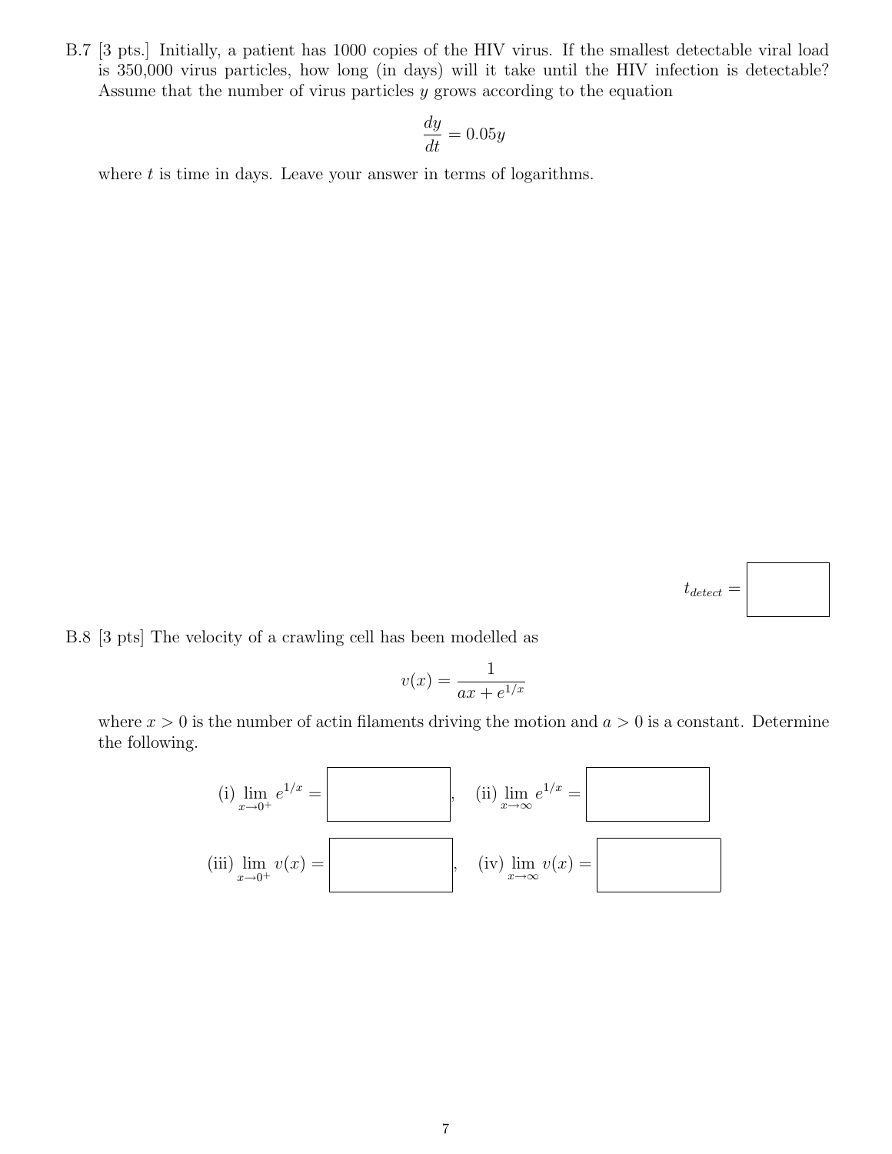B.7 [3 pts.] Initially, a patient has 1000 copies of the HIV virus. If the smallest detectable viral load is 350,000 virus particles, how long (in days) will it take until the HIV infection is detectable? Assume that the number of virus particles  $y$  grows according to the equation

$$
\frac{dy}{dt} = 0.05y
$$

where  $t$  is time in days. Leave your answer in terms of logarithms.



B.8 [3 pts] The velocity of a crawling cell has been modelled as

$$
v(x) = \frac{1}{ax + e^{1/x}}
$$

where  $x > 0$  is the number of actin filaments driving the motion and  $a > 0$  is a constant. Determine the following.

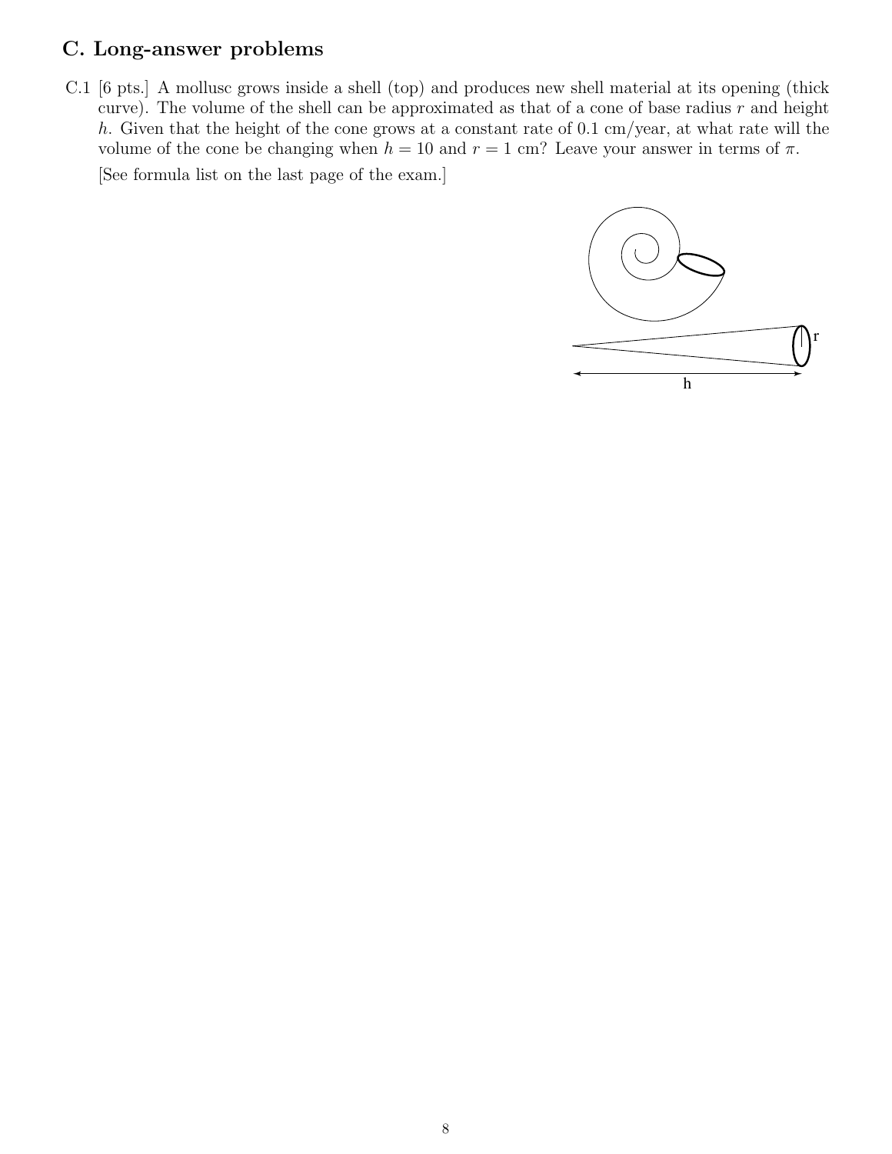## C. Long-answer problems

C.1 [6 pts.] A mollusc grows inside a shell (top) and produces new shell material at its opening (thick curve). The volume of the shell can be approximated as that of a cone of base radius  $r$  and height h. Given that the height of the cone grows at a constant rate of  $0.1 \text{ cm/year}$ , at what rate will the volume of the cone be changing when  $h = 10$  and  $r = 1$  cm? Leave your answer in terms of  $\pi$ .

[See formula list on the last page of the exam.]

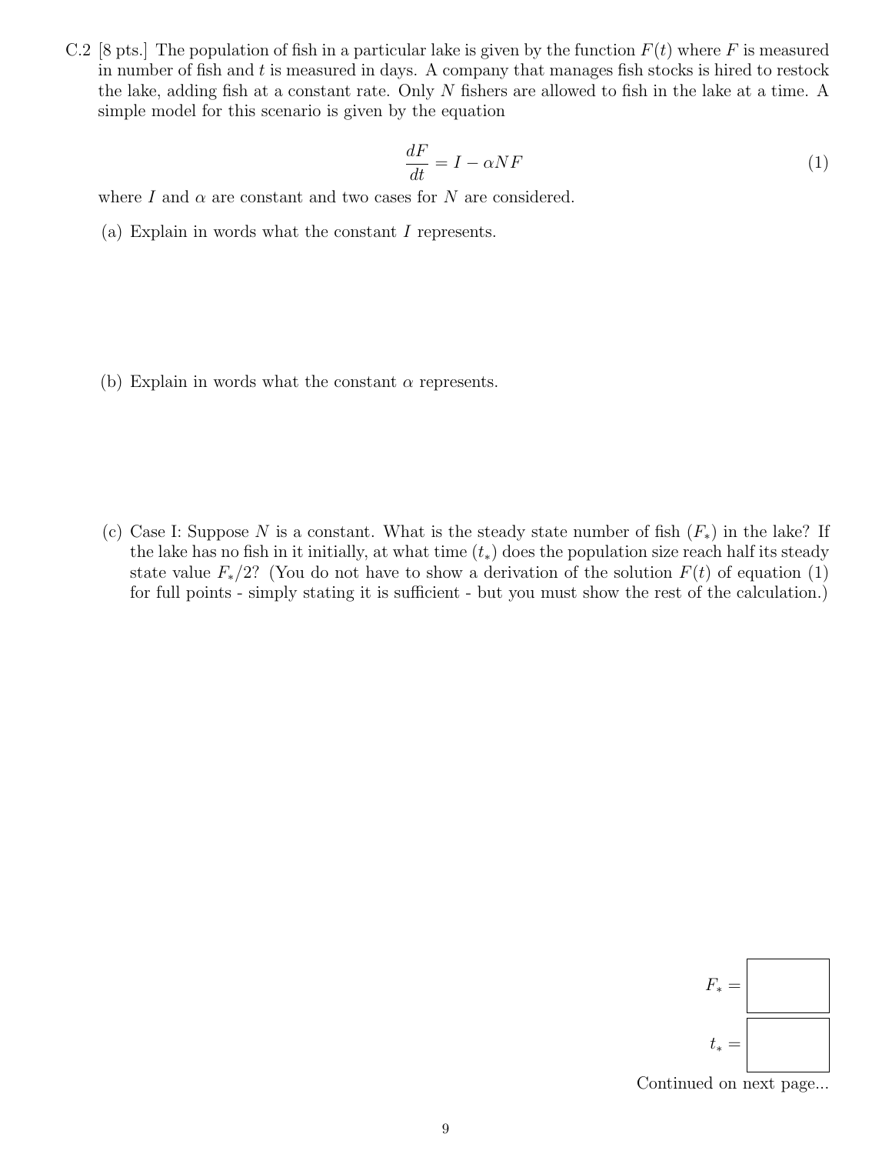C.2 [8 pts.] The population of fish in a particular lake is given by the function  $F(t)$  where F is measured in number of fish and  $t$  is measured in days. A company that manages fish stocks is hired to restock the lake, adding fish at a constant rate. Only N fishers are allowed to fish in the lake at a time. A simple model for this scenario is given by the equation

$$
\frac{dF}{dt} = I - \alpha NF \tag{1}
$$

where I and  $\alpha$  are constant and two cases for N are considered.

(a) Explain in words what the constant I represents.

(b) Explain in words what the constant  $\alpha$  represents.

(c) Case I: Suppose N is a constant. What is the steady state number of fish  $(F_*)$  in the lake? If the lake has no fish in it initially, at what time  $(t_*)$  does the population size reach half its steady state value  $F_*/2$ ? (You do not have to show a derivation of the solution  $F(t)$  of equation (1) for full points - simply stating it is sufficient - but you must show the rest of the calculation.)



Continued on next page...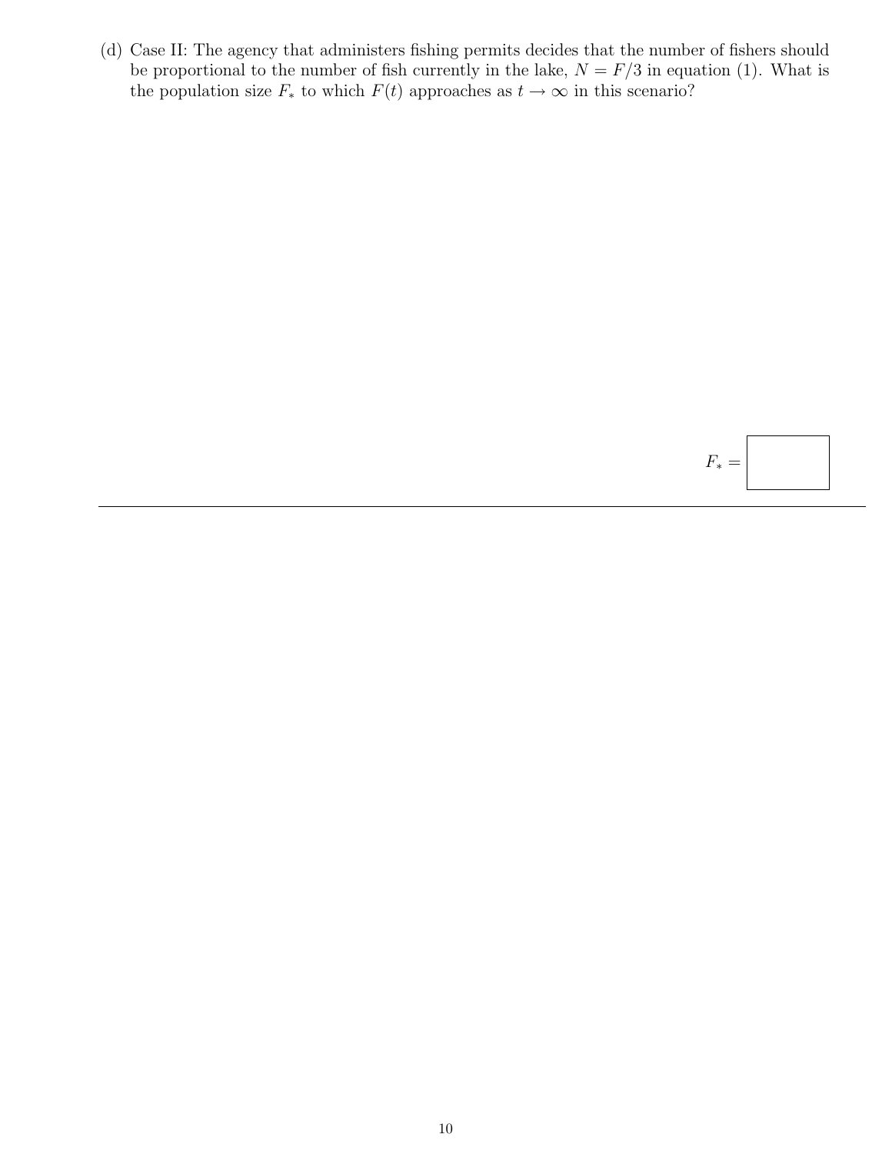(d) Case II: The agency that administers fishing permits decides that the number of fishers should be proportional to the number of fish currently in the lake,  $N = F/3$  in equation (1). What is the population size  $F_*$  to which  $F(t)$  approaches as  $t \to \infty$  in this scenario?

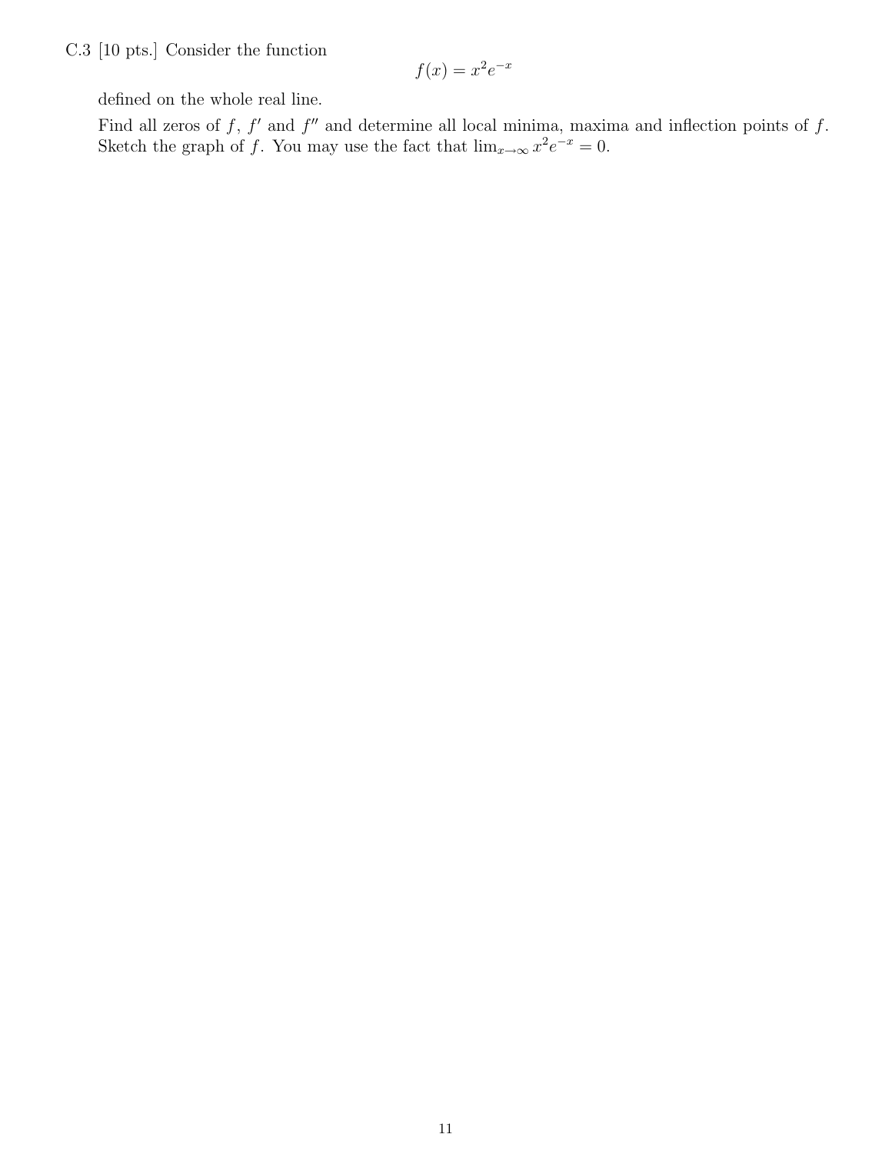C.3 [10 pts.] Consider the function

$$
f(x) = x^2 e^{-x}
$$

defined on the whole real line.

Find all zeros of f,  $f'$  and  $f''$  and determine all local minima, maxima and inflection points of f. Sketch the graph of f. You may use the fact that  $\lim_{x\to\infty} x^2 e^{-x} = 0$ .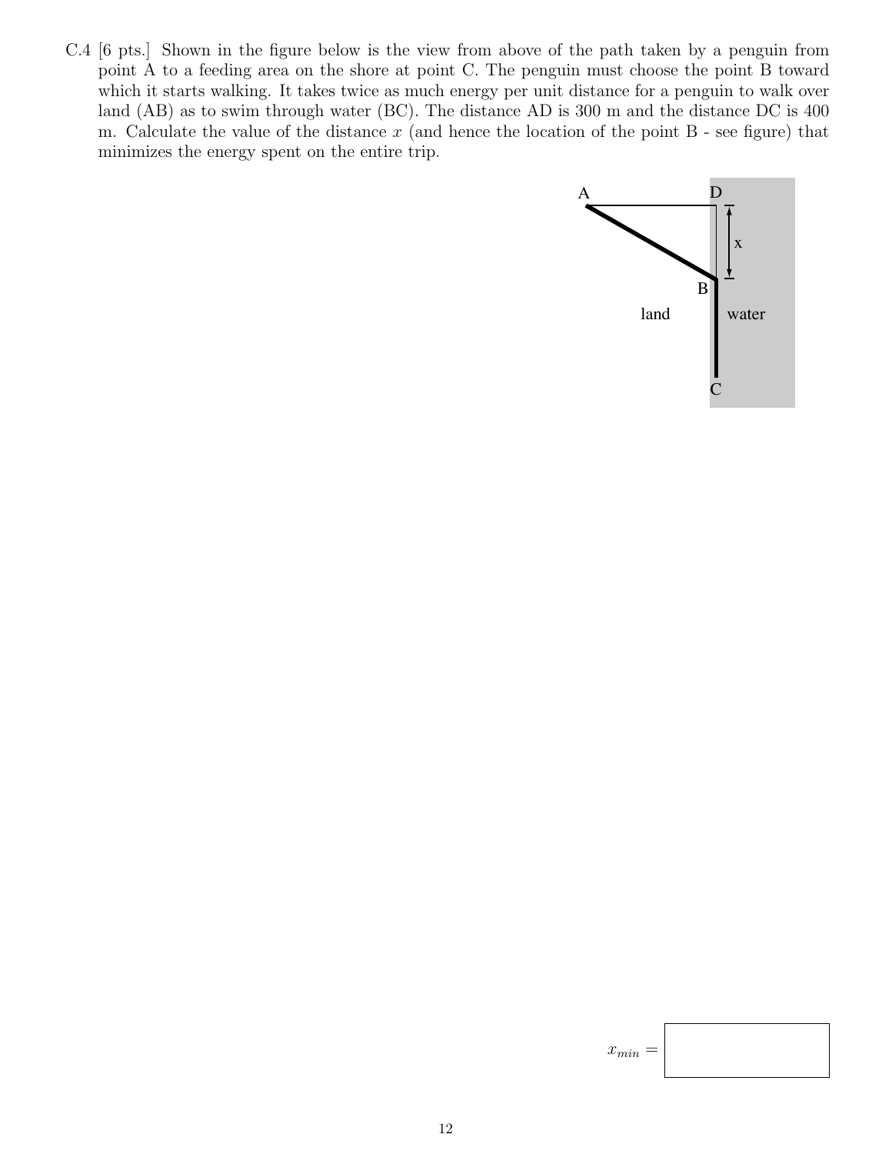C.4 [6 pts.] Shown in the figure below is the view from above of the path taken by a penguin from point A to a feeding area on the shore at point C. The penguin must choose the point B toward which it starts walking. It takes twice as much energy per unit distance for a penguin to walk over land (AB) as to swim through water (BC). The distance AD is 300 m and the distance DC is 400 m. Calculate the value of the distance  $x$  (and hence the location of the point  $B$  - see figure) that minimizes the energy spent on the entire trip.



 $x_{min} =$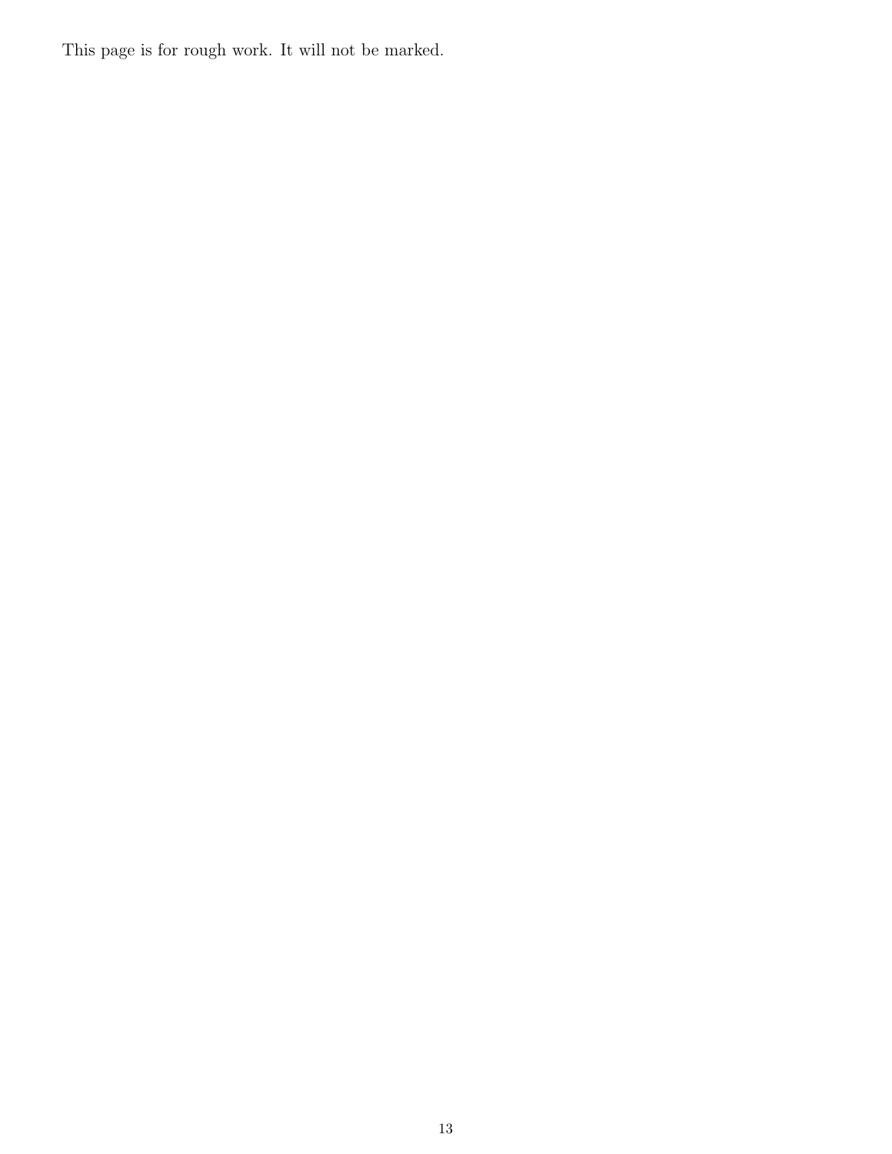This page is for rough work. It will not be marked.